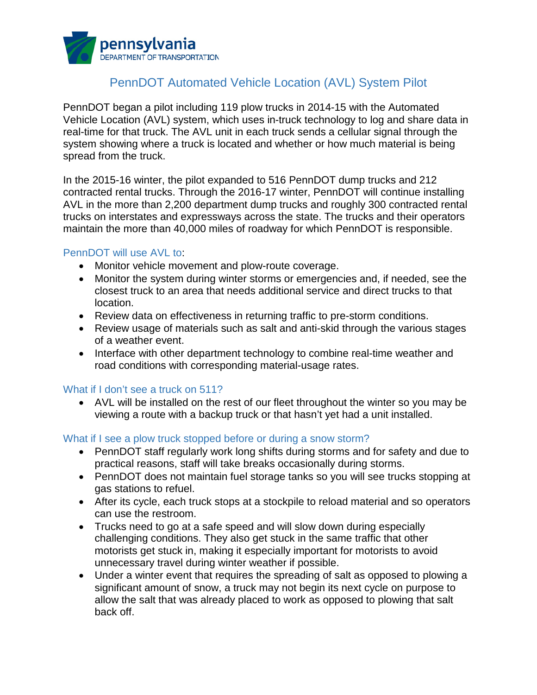

# PennDOT Automated Vehicle Location (AVL) System Pilot

PennDOT began a pilot including 119 plow trucks in 2014-15 with the Automated Vehicle Location (AVL) system, which uses in-truck technology to log and share data in real-time for that truck. The AVL unit in each truck sends a cellular signal through the system showing where a truck is located and whether or how much material is being spread from the truck.

In the 2015-16 winter, the pilot expanded to 516 PennDOT dump trucks and 212 contracted rental trucks. Through the 2016-17 winter, PennDOT will continue installing AVL in the more than 2,200 department dump trucks and roughly 300 contracted rental trucks on interstates and expressways across the state. The trucks and their operators maintain the more than 40,000 miles of roadway for which PennDOT is responsible.

## PennDOT will use AVL to:

- Monitor vehicle movement and plow-route coverage.
- Monitor the system during winter storms or emergencies and, if needed, see the closest truck to an area that needs additional service and direct trucks to that location.
- Review data on effectiveness in returning traffic to pre-storm conditions.
- Review usage of materials such as salt and anti-skid through the various stages of a weather event.
- Interface with other department technology to combine real-time weather and road conditions with corresponding material-usage rates.

## What if I don't see a truck on 511?

• AVL will be installed on the rest of our fleet throughout the winter so you may be viewing a route with a backup truck or that hasn't yet had a unit installed.

#### What if I see a plow truck stopped before or during a snow storm?

- PennDOT staff regularly work long shifts during storms and for safety and due to practical reasons, staff will take breaks occasionally during storms.
- PennDOT does not maintain fuel storage tanks so you will see trucks stopping at gas stations to refuel.
- After its cycle, each truck stops at a stockpile to reload material and so operators can use the restroom.
- Trucks need to go at a safe speed and will slow down during especially challenging conditions. They also get stuck in the same traffic that other motorists get stuck in, making it especially important for motorists to avoid unnecessary travel during winter weather if possible.
- Under a winter event that requires the spreading of salt as opposed to plowing a significant amount of snow, a truck may not begin its next cycle on purpose to allow the salt that was already placed to work as opposed to plowing that salt back off.